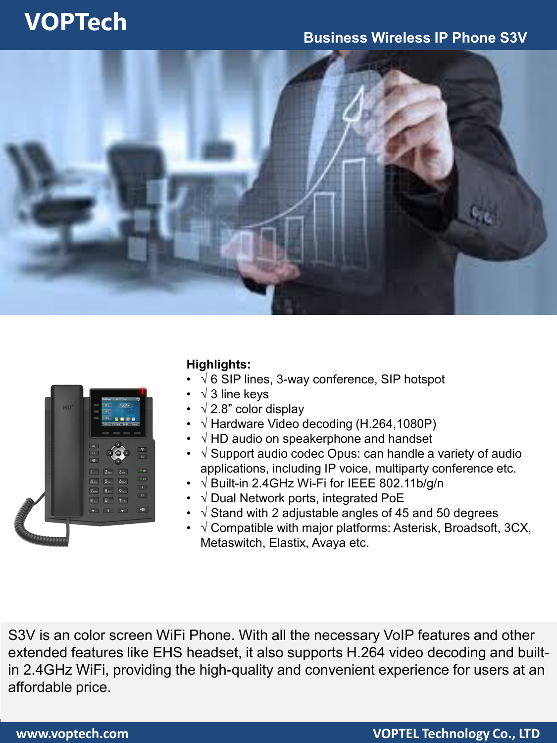## **VOPTech**

### **Business Wireless IP Phone S3V**



|          | 12 OCT SAT<br>Ð<br><b>Dal Peer</b><br>16:47<br>$-0.01 -$<br>$\mathbb{R}^n$<br>$HD_{\psi}$<br>- 1992 -<br>$\mathbb{R}$<br>- 923 -<br>me.<br>×<br>■■<br>需<br>Call.og Contact DND Menu                                                                      |
|----------|----------------------------------------------------------------------------------------------------------------------------------------------------------------------------------------------------------------------------------------------------------|
|          | d<br>$\blacksquare$<br>OK<br>11<br>$\boxed{w}$<br>$\left[-\infty\right]$<br>2 <sub>AC</sub><br>3 <sub>co</sub><br>П<br>$[-\alpha]$<br>5 <sub>1</sub><br>4 <sub>01</sub><br>6480<br>$\boxed{1}$<br>8 <sub>10</sub><br>7 <sub>res</sub><br>9 <sub>wa</sub> |
| COLORADO | $\boxed{\circ}$<br>$\overline{0}$<br># a<br>$*$ .<br>160<br>$\boxed{4}$<br>$\boxed{1}$                                                                                                                                                                   |

### **Highlights:**

- √ 6 SIP lines, 3-way conference, SIP hotspot
- $\sqrt{3}$  line keys
- $\sqrt{2.8}$ " color display
- √ Hardware Video decoding (H.264,1080P)
- $\sqrt{}$  HD audio on speakerphone and handset
- √ Support audio codec Opus: can handle a variety of audio applications, including IP voice, multiparty conference etc.
- √ Built-in 2.4GHz Wi-Fi for IEEE 802.11b/g/n
- √ Dual Network ports, integrated PoE
- $\sqrt{\frac{1}{100}}$  Stand with 2 adjustable angles of 45 and 50 degrees
- $\sqrt{2}$  Compatible with major platforms: Asterisk, Broadsoft, 3CX, Metaswitch, Elastix, Avaya etc.

S3V is an color screen WiFi Phone. With all the necessary VoIP features and other extended features like EHS headset, it also supports H.264 video decoding and builtin 2.4GHz WiFi, providing the high-quality and convenient experience for users at an affordable price.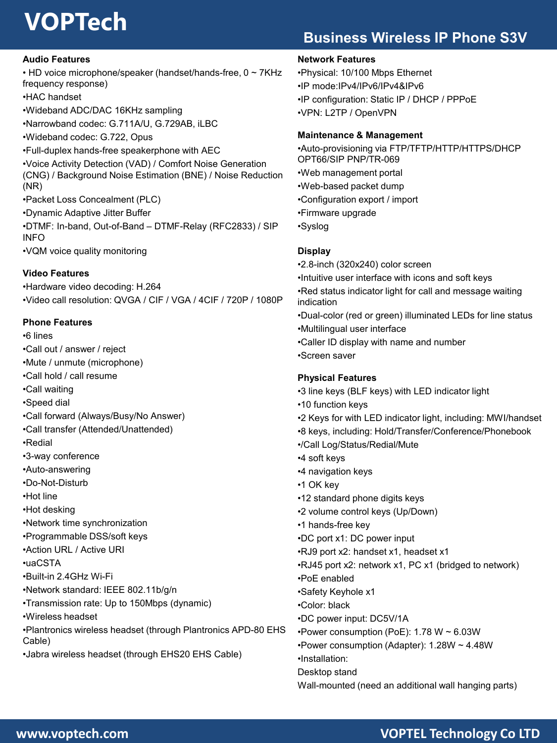# **VOPTech**

## **Business Wireless IP Phone S3V**

#### **Audio Features**

- HD voice microphone/speaker (handset/hands-free, 0 ~ 7KHz frequency response)
- •HAC handset
- •Wideband ADC/DAC 16KHz sampling
- •Narrowband codec: G.711A/U, G.729AB, iLBC
- •Wideband codec: G.722, Opus
- •Full-duplex hands-free speakerphone with AEC
- •Voice Activity Detection (VAD) / Comfort Noise Generation (CNG) / Background Noise Estimation (BNE) / Noise Reduction (NR)
- •Packet Loss Concealment (PLC)
- •Dynamic Adaptive Jitter Buffer
- •DTMF: In-band, Out-of-Band DTMF-Relay (RFC2833) / SIP INFO
- •VQM voice quality monitoring

#### **Video Features**

•Hardware video decoding: H.264 •Video call resolution: QVGA / CIF / VGA / 4CIF / 720P / 1080P

#### **Phone Features**

•6 lines •Call out / answer / reject •Mute / unmute (microphone) •Call hold / call resume •Call waiting •Speed dial •Call forward (Always/Busy/No Answer) •Call transfer (Attended/Unattended) •Redial •3-way conference •Auto-answering •Do-Not-Disturb •Hot line •Hot desking •Network time synchronization •Programmable DSS/soft keys •Action URL / Active URI •uaCSTA •Built-in 2.4GHz Wi-Fi •Network standard: IEEE 802.11b/g/n •Transmission rate: Up to 150Mbps (dynamic) •Wireless headset •Plantronics wireless headset (through Plantronics APD-80 EHS Cable) •Jabra wireless headset (through EHS20 EHS Cable)

#### **Network Features**

•Physical: 10/100 Mbps Ethernet •IP mode:IPv4/IPv6/IPv4&IPv6 •IP configuration: Static IP / DHCP / PPPoE •VPN: L2TP / OpenVPN

#### **Maintenance & Management**

•Auto-provisioning via FTP/TFTP/HTTP/HTTPS/DHCP OPT66/SIP PNP/TR-069 •Web management portal •Web-based packet dump •Configuration export / import •Firmware upgrade •Syslog **Display**

•2.8-inch (320x240) color screen •Intuitive user interface with icons and soft keys •Red status indicator light for call and message waiting indication •Dual-color (red or green) illuminated LEDs for line status •Multilingual user interface •Caller ID display with name and number

•Screen saver

#### **Physical Features**

- •3 line keys (BLF keys) with LED indicator light
- •10 function keys
- •2 Keys for with LED indicator light, including: MWI/handset
- •8 keys, including: Hold/Transfer/Conference/Phonebook
- •/Call Log/Status/Redial/Mute
- •4 soft keys
- •4 navigation keys
- •1 OK key
- •12 standard phone digits keys
- •2 volume control keys (Up/Down)
- •1 hands-free key •DC port x1: DC power input
- •RJ9 port x2: handset x1, headset x1
- •RJ45 port x2: network x1, PC x1 (bridged to network)
- •PoE enabled
- •Safety Keyhole x1
- •Color: black
- •DC power input: DC5V/1A
- •Power consumption (PoE): 1.78 W ~ 6.03W
- •Power consumption (Adapter): 1.28W ~ 4.48W
- •Installation:
- Desktop stand
- Wall-mounted (need an additional wall hanging parts)